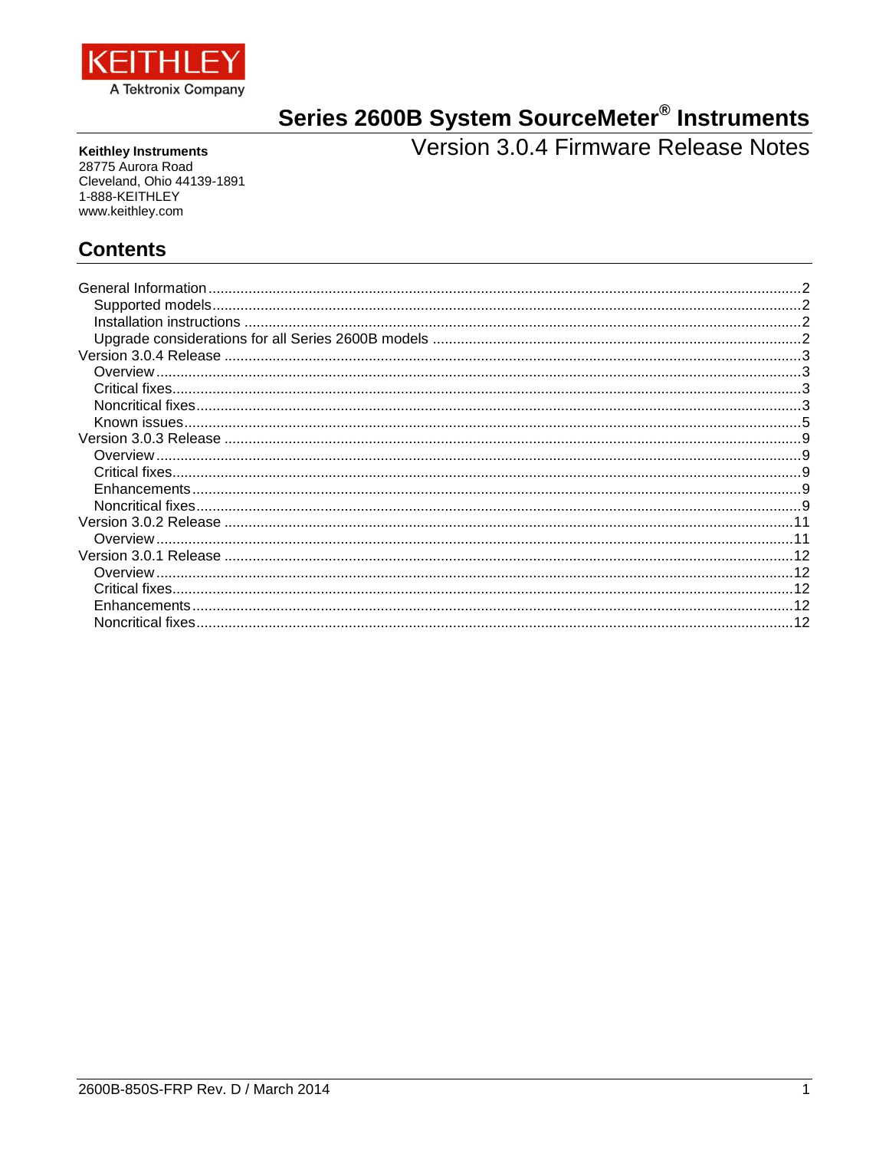

# Series 2600B System SourceMeter<sup>®</sup> Instruments<br>Version 3.0.4 Firmware Release Notes

**Keithley Instruments** 28775 Aurora Road Cleveland, Ohio 44139-1891 1-888-KEITHLEY www.keithley.com

# **Contents**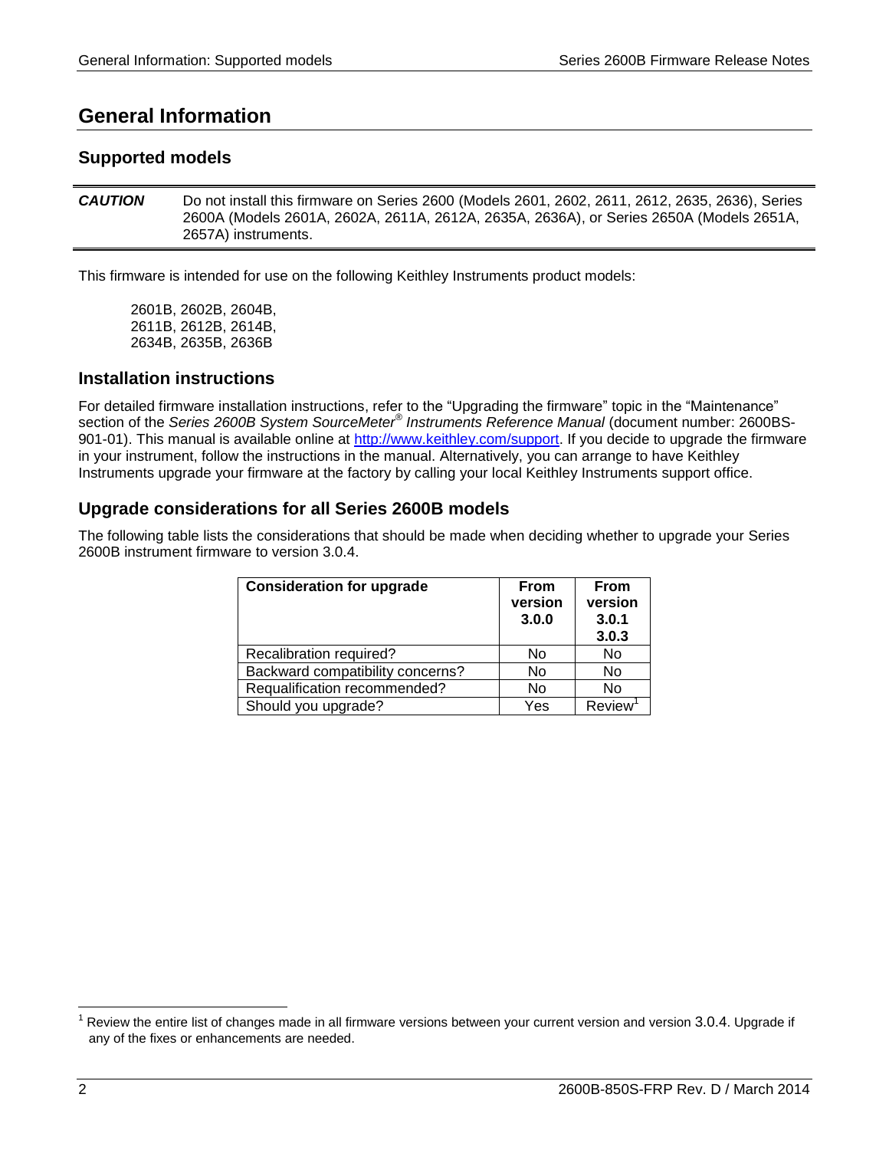# <span id="page-1-0"></span>**General Information**

# <span id="page-1-1"></span>**Supported models**

*CAUTION* Do not install this firmware on Series 2600 (Models 2601, 2602, 2611, 2612, 2635, 2636), Series 2600A (Models 2601A, 2602A, 2611A, 2612A, 2635A, 2636A), or Series 2650A (Models 2651A, 2657A) instruments.

This firmware is intended for use on the following Keithley Instruments product models:

2601B, 2602B, 2604B, 2611B, 2612B, 2614B, 2634B, 2635B, 2636B

# <span id="page-1-2"></span>**Installation instructions**

For detailed firmware installation instructions, refer to the "Upgrading the firmware" topic in the "Maintenance" section of the *Series 2600B System SourceMeter® Instruments Reference Manual* (document number: 2600BS-901-01). This manual is available online at http://www.keithley.com/support. If you decide to upgrade the firmware in your instrument, follow the instructions in the manual. Alternatively, you can arrange to have Keithley Instruments upgrade your firmware at the factory by calling your local Keithley Instruments support office.

# <span id="page-1-3"></span>**Upgrade considerations for all Series 2600B models**

The following table lists the considerations that should be made when deciding whether to upgrade your Series 2600B instrument firmware to version 3.0.4.

| <b>Consideration for upgrade</b> | From<br>version<br>3.0.0 | <b>From</b><br>version<br>3.0.1<br>3.0.3 |
|----------------------------------|--------------------------|------------------------------------------|
| Recalibration required?          | No                       | No                                       |
| Backward compatibility concerns? | No                       | No                                       |
| Requalification recommended?     | No                       | No                                       |
| Should you upgrade?              | Yes                      | <b>Review</b>                            |

l

Review the entire list of changes made in all firmware versions between your current version and version 3.0.4. Upgrade if any of the fixes or enhancements are needed.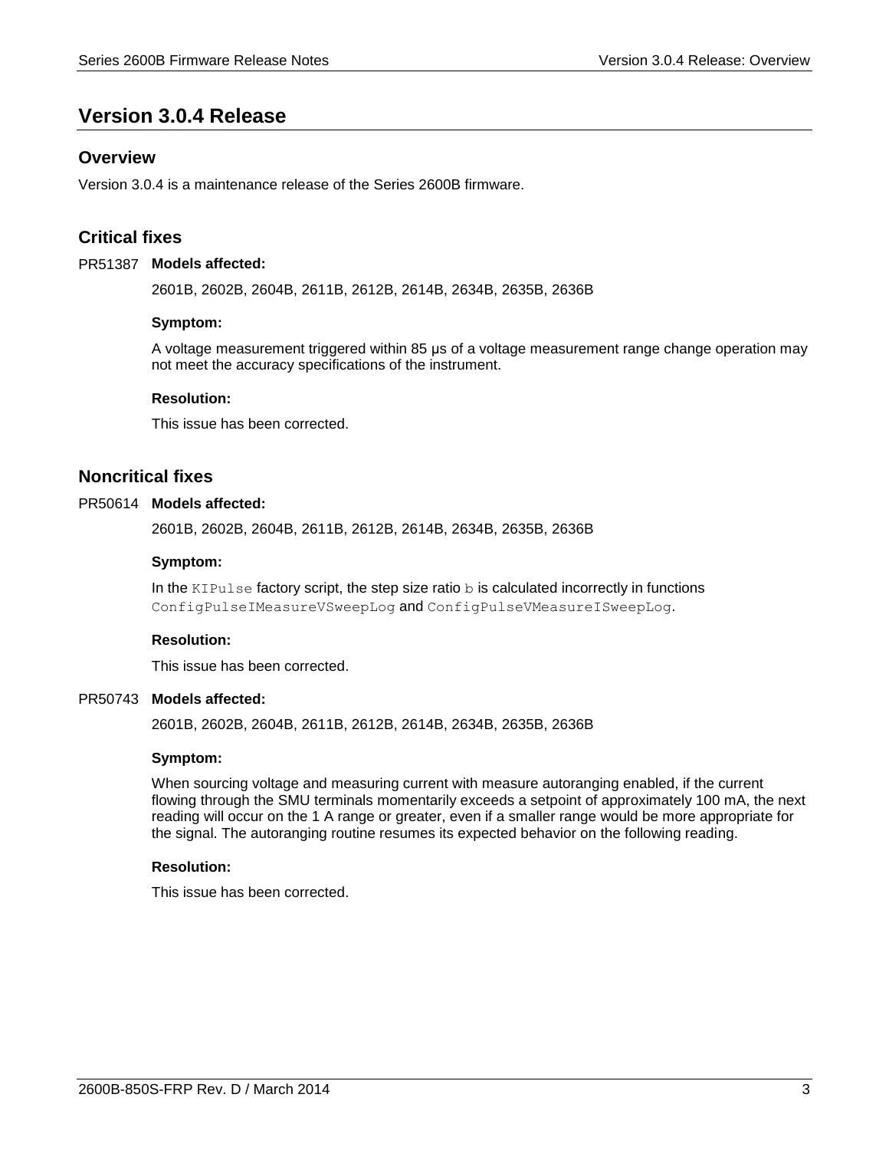# <span id="page-2-0"></span>**Version 3.0.4 Release**

# <span id="page-2-1"></span>**Overview**

Version 3.0.4 is a maintenance release of the Series 2600B firmware.

# <span id="page-2-2"></span>**Critical fixes**

#### PR51387 Models affected:

2601B, 2602B, 2604B, 2611B, 2612B, 2614B, 2634B, 2635B, 2636B

#### **Symptom:**

A voltage measurement triggered within 85 μs of a voltage measurement range change operation may not meet the accuracy specifications of the instrument.

#### **Resolution:**

This issue has been corrected.

## <span id="page-2-3"></span>**Noncritical fixes**

#### PR50614 Models affected:

2601B, 2602B, 2604B, 2611B, 2612B, 2614B, 2634B, 2635B, 2636B

#### **Symptom:**

In the KIPulse factory script, the step size ratio  $b$  is calculated incorrectly in functions ConfigPulseIMeasureVSweepLog and ConfigPulseVMeasureISweepLog.

#### **Resolution:**

This issue has been corrected.

#### PR50743 Models affected:

2601B, 2602B, 2604B, 2611B, 2612B, 2614B, 2634B, 2635B, 2636B

#### **Symptom:**

When sourcing voltage and measuring current with measure autoranging enabled, if the current flowing through the SMU terminals momentarily exceeds a setpoint of approximately 100 mA, the next reading will occur on the 1 A range or greater, even if a smaller range would be more appropriate for the signal. The autoranging routine resumes its expected behavior on the following reading.

#### **Resolution:**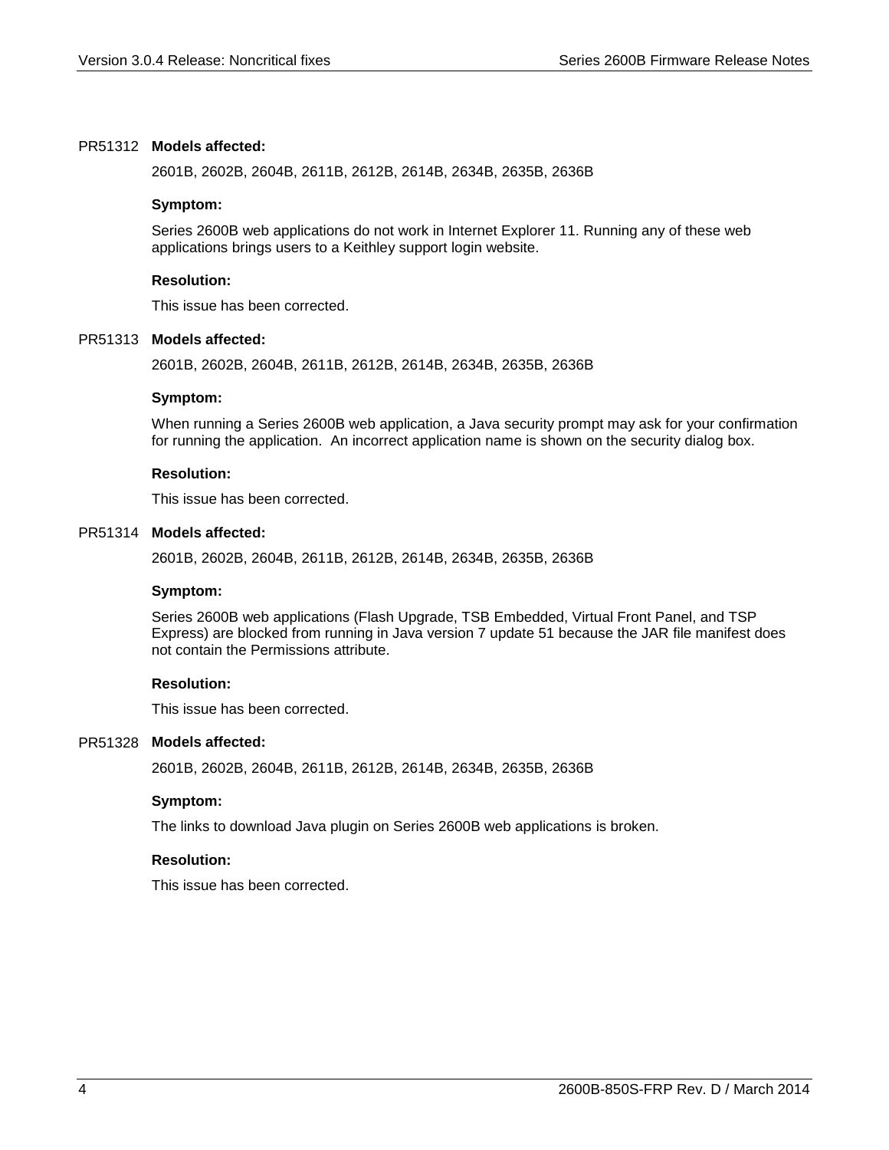#### PR51312 Models affected:

2601B, 2602B, 2604B, 2611B, 2612B, 2614B, 2634B, 2635B, 2636B

#### **Symptom:**

Series 2600B web applications do not work in Internet Explorer 11. Running any of these web applications brings users to a Keithley support login website.

#### **Resolution:**

This issue has been corrected.

#### PR51313 Models affected:

2601B, 2602B, 2604B, 2611B, 2612B, 2614B, 2634B, 2635B, 2636B

#### **Symptom:**

When running a Series 2600B web application, a Java security prompt may ask for your confirmation for running the application. An incorrect application name is shown on the security dialog box.

## **Resolution:**

This issue has been corrected.

#### PR51314 Models affected:

2601B, 2602B, 2604B, 2611B, 2612B, 2614B, 2634B, 2635B, 2636B

#### **Symptom:**

Series 2600B web applications (Flash Upgrade, TSB Embedded, Virtual Front Panel, and TSP Express) are blocked from running in Java version 7 update 51 because the JAR file manifest does not contain the Permissions attribute.

#### **Resolution:**

This issue has been corrected.

#### PR51328 Models affected:

2601B, 2602B, 2604B, 2611B, 2612B, 2614B, 2634B, 2635B, 2636B

#### **Symptom:**

The links to download Java plugin on Series 2600B web applications is broken.

#### **Resolution:**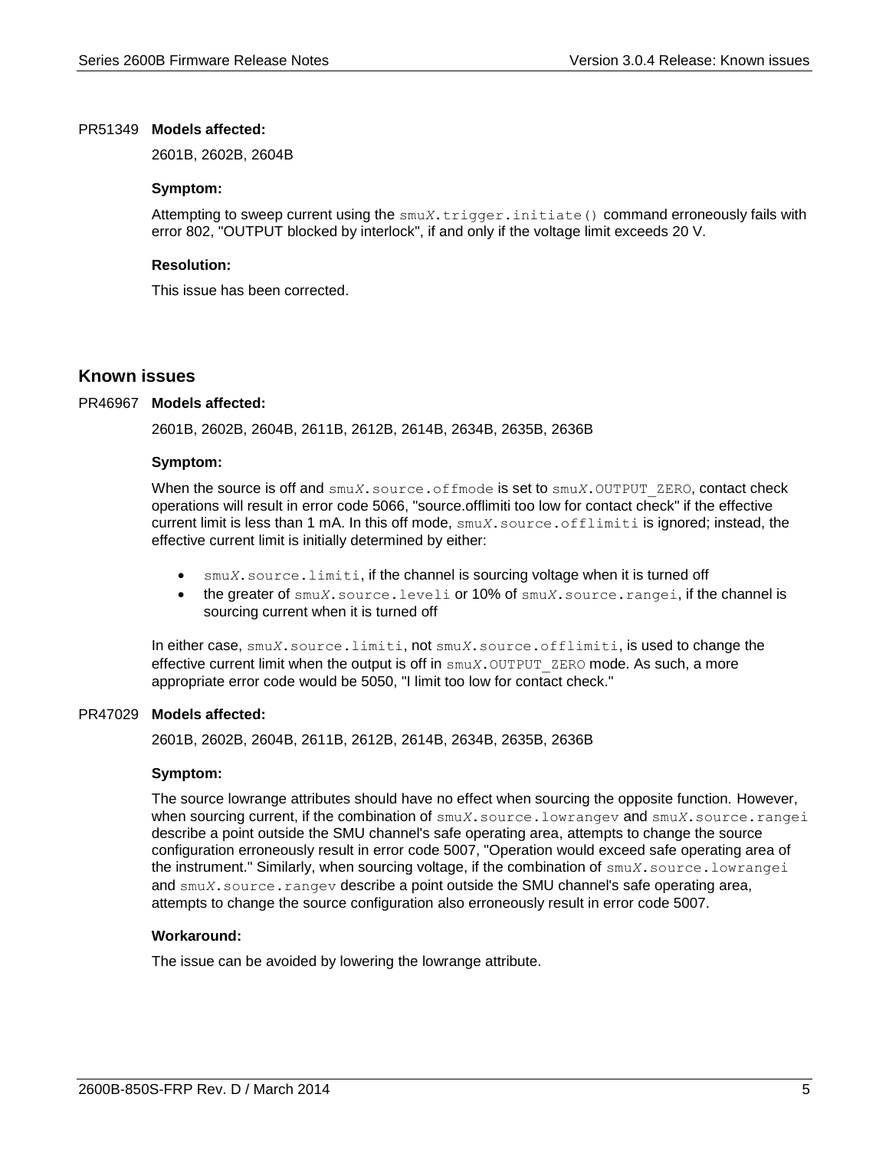#### PR51349 Models affected:

2601B, 2602B, 2604B

#### **Symptom:**

Attempting to sweep current using the smu*X*.trigger.initiate() command erroneously fails with error 802, "OUTPUT blocked by interlock", if and only if the voltage limit exceeds 20 V.

#### **Resolution:**

This issue has been corrected.

## <span id="page-4-0"></span>**Known issues**

#### PR46967 Models affected:

2601B, 2602B, 2604B, 2611B, 2612B, 2614B, 2634B, 2635B, 2636B

#### **Symptom:**

When the source is off and  $\text{smu}X$ . source.of fmode is set to  $\text{smu}X$ . OUTPUT ZERO, contact check operations will result in error code 5066, "source.offlimiti too low for contact check" if the effective current limit is less than 1 mA. In this off mode, smu*X*.source.offlimiti is ignored; instead, the effective current limit is initially determined by either:

- smu*X*.source.limiti, if the channel is sourcing voltage when it is turned off
- the greater of smu*X*.source.leveli or 10% of smu*X*.source.rangei, if the channel is sourcing current when it is turned off

In either case, smu*X*.source.limiti, not smu*X*.source.offlimiti, is used to change the effective current limit when the output is off in smu*X*.OUTPUT\_ZERO mode. As such, a more appropriate error code would be 5050, "I limit too low for contact check."

#### PR47029 Models affected:

2601B, 2602B, 2604B, 2611B, 2612B, 2614B, 2634B, 2635B, 2636B

#### **Symptom:**

The source lowrange attributes should have no effect when sourcing the opposite function. However, when sourcing current, if the combination of smu*X*.source.lowrangev and smu*X*.source.rangei describe a point outside the SMU channel's safe operating area, attempts to change the source configuration erroneously result in error code 5007, "Operation would exceed safe operating area of the instrument." Similarly, when sourcing voltage, if the combination of smu*X*.source.lowrangei and smu*X*. source.rangev describe a point outside the SMU channel's safe operating area, attempts to change the source configuration also erroneously result in error code 5007.

#### **Workaround:**

The issue can be avoided by lowering the lowrange attribute.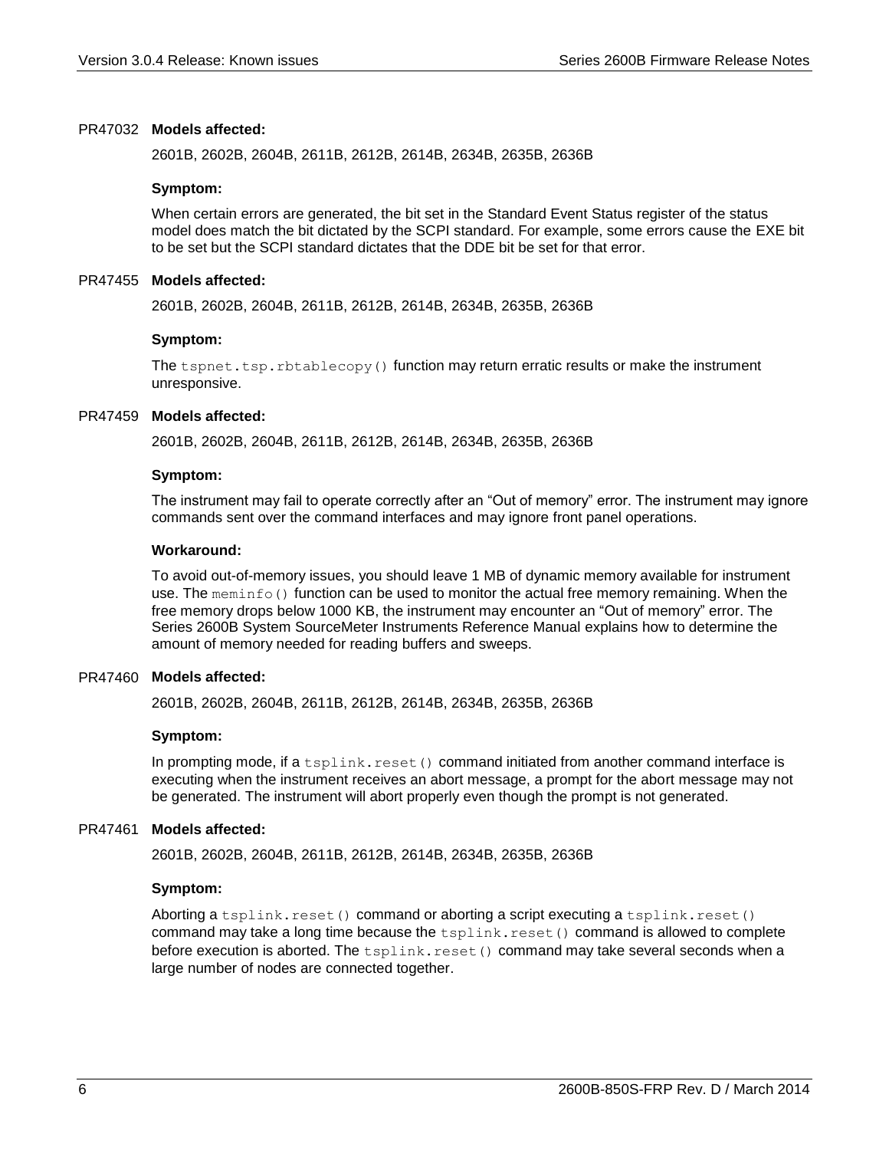#### PR47032 Models affected:

2601B, 2602B, 2604B, 2611B, 2612B, 2614B, 2634B, 2635B, 2636B

#### **Symptom:**

When certain errors are generated, the bit set in the Standard Event Status register of the status model does match the bit dictated by the SCPI standard. For example, some errors cause the EXE bit to be set but the SCPI standard dictates that the DDE bit be set for that error.

#### PR47455 Models affected:

2601B, 2602B, 2604B, 2611B, 2612B, 2614B, 2634B, 2635B, 2636B

#### **Symptom:**

The tspnet.tsp.rbtablecopy() function may return erratic results or make the instrument unresponsive.

#### PR47459 Models affected:

2601B, 2602B, 2604B, 2611B, 2612B, 2614B, 2634B, 2635B, 2636B

#### **Symptom:**

The instrument may fail to operate correctly after an "Out of memory" error. The instrument may ignore commands sent over the command interfaces and may ignore front panel operations.

#### **Workaround:**

To avoid out-of-memory issues, you should leave 1 MB of dynamic memory available for instrument use. The meminfo() function can be used to monitor the actual free memory remaining. When the free memory drops below 1000 KB, the instrument may encounter an "Out of memory" error. The Series 2600B System SourceMeter Instruments Reference Manual explains how to determine the amount of memory needed for reading buffers and sweeps.

#### PR47460 Models affected:

2601B, 2602B, 2604B, 2611B, 2612B, 2614B, 2634B, 2635B, 2636B

#### **Symptom:**

In prompting mode, if a  $t$ splink.reset() command initiated from another command interface is executing when the instrument receives an abort message, a prompt for the abort message may not be generated. The instrument will abort properly even though the prompt is not generated.

#### PR47461 Models affected:

2601B, 2602B, 2604B, 2611B, 2612B, 2614B, 2634B, 2635B, 2636B

#### **Symptom:**

Aborting a tsplink.reset() command or aborting a script executing a tsplink.reset() command may take a long time because the  $tsplit.reset()$  command is allowed to complete before execution is aborted. The  $tsplit$ .reset() command may take several seconds when a large number of nodes are connected together.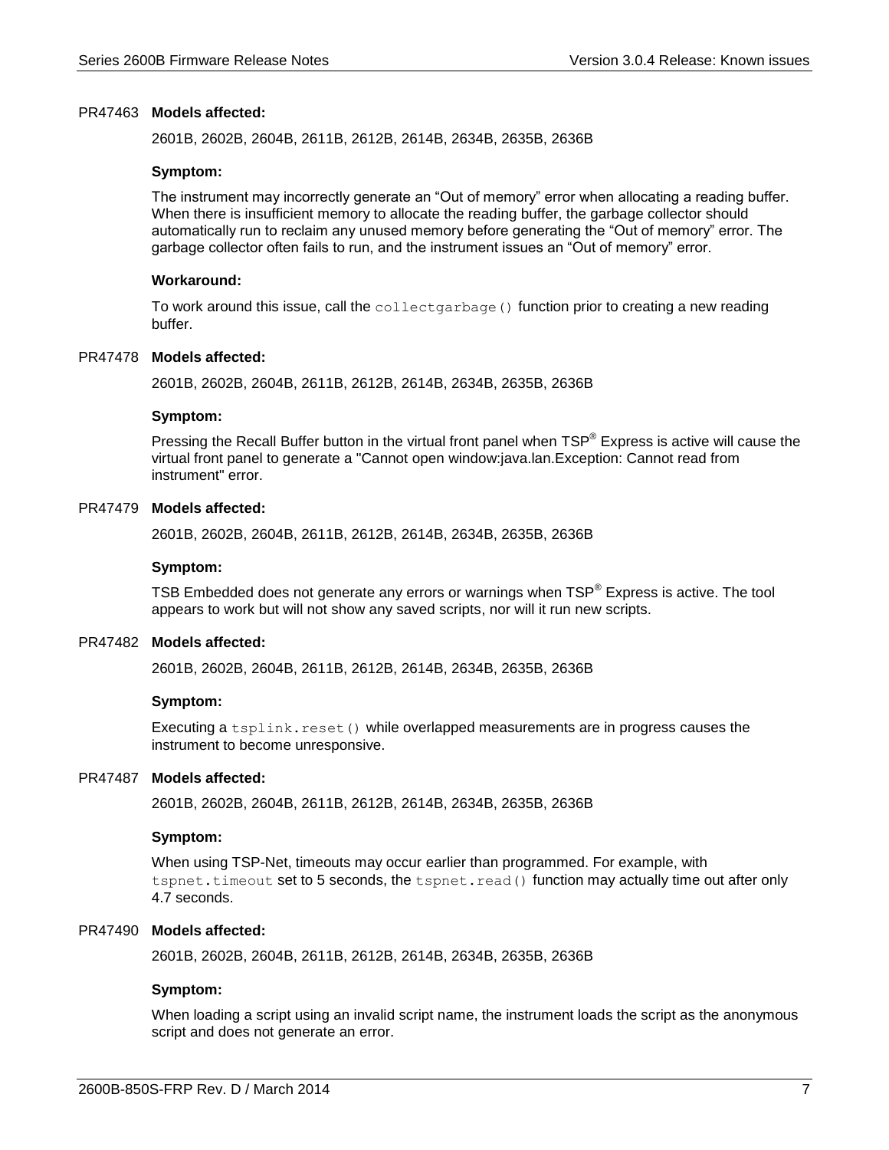#### PR47463 Models affected:

2601B, 2602B, 2604B, 2611B, 2612B, 2614B, 2634B, 2635B, 2636B

#### **Symptom:**

The instrument may incorrectly generate an "Out of memory" error when allocating a reading buffer. When there is insufficient memory to allocate the reading buffer, the garbage collector should automatically run to reclaim any unused memory before generating the "Out of memory" error. The garbage collector often fails to run, and the instrument issues an "Out of memory" error.

#### **Workaround:**

To work around this issue, call the collect garbage () function prior to creating a new reading buffer.

#### PR47478 Models affected:

2601B, 2602B, 2604B, 2611B, 2612B, 2614B, 2634B, 2635B, 2636B

#### **Symptom:**

Pressing the Recall Buffer button in the virtual front panel when TSP® Express is active will cause the virtual front panel to generate a "Cannot open window:java.lan.Exception: Cannot read from instrument" error.

#### PR47479 Models affected:

2601B, 2602B, 2604B, 2611B, 2612B, 2614B, 2634B, 2635B, 2636B

#### **Symptom:**

TSB Embedded does not generate any errors or warnings when  $\text{TSP}^{\circledast}$  Express is active. The tool appears to work but will not show any saved scripts, nor will it run new scripts.

#### PR47482 Models affected:

2601B, 2602B, 2604B, 2611B, 2612B, 2614B, 2634B, 2635B, 2636B

#### **Symptom:**

Executing a tsplink.reset() while overlapped measurements are in progress causes the instrument to become unresponsive.

#### PR47487 Models affected:

2601B, 2602B, 2604B, 2611B, 2612B, 2614B, 2634B, 2635B, 2636B

#### **Symptom:**

When using TSP-Net, timeouts may occur earlier than programmed. For example, with tspnet.timeout set to 5 seconds, the tspnet.read() function may actually time out after only 4.7 seconds.

#### PR47490 Models affected:

2601B, 2602B, 2604B, 2611B, 2612B, 2614B, 2634B, 2635B, 2636B

#### **Symptom:**

When loading a script using an invalid script name, the instrument loads the script as the anonymous script and does not generate an error.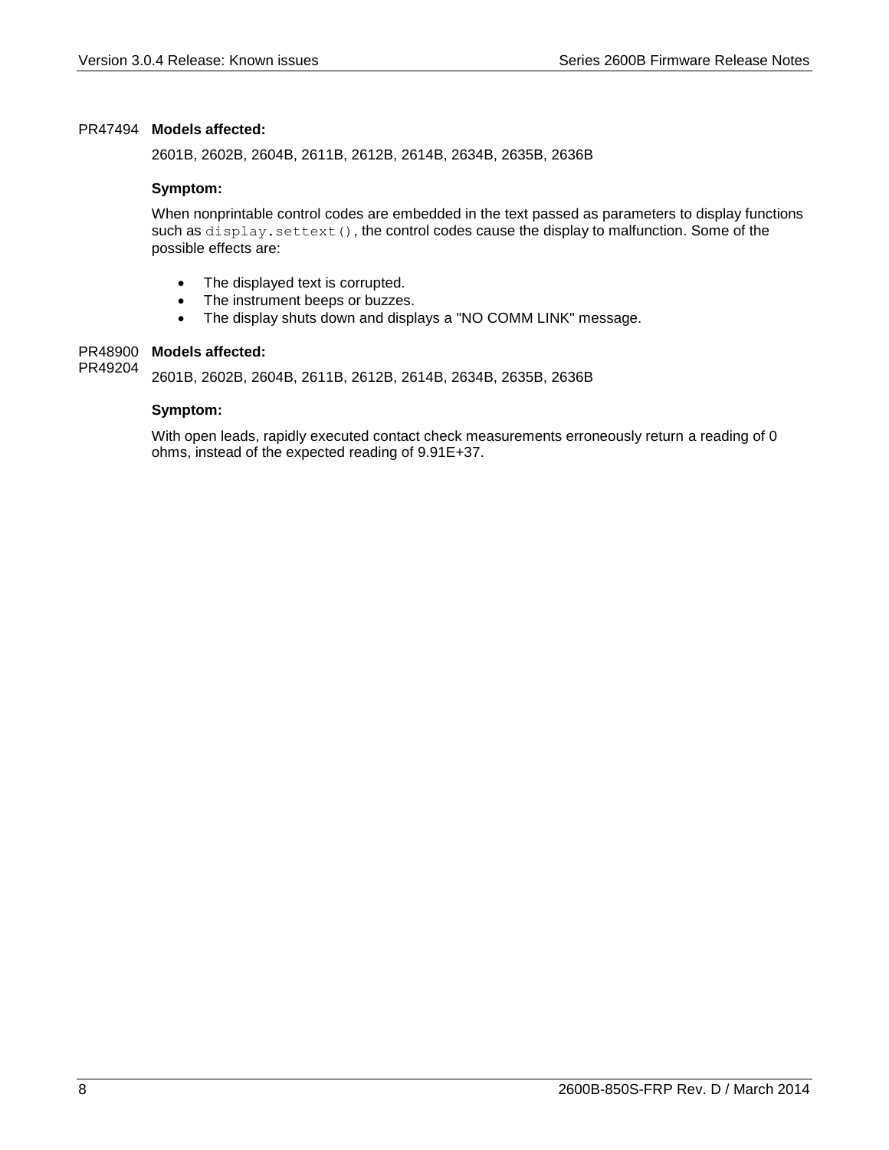#### PR47494 Models affected:

2601B, 2602B, 2604B, 2611B, 2612B, 2614B, 2634B, 2635B, 2636B

#### **Symptom:**

When nonprintable control codes are embedded in the text passed as parameters to display functions such as display.settext(), the control codes cause the display to malfunction. Some of the possible effects are:

- The displayed text is corrupted.
- The instrument beeps or buzzes.
- The display shuts down and displays a "NO COMM LINK" message.

#### PR48900 Models affected:

2601B, 2602B, 2604B, 2611B, 2612B, 2614B, 2634B, 2635B, 2636B PR49204

#### **Symptom:**

With open leads, rapidly executed contact check measurements erroneously return a reading of 0 ohms, instead of the expected reading of 9.91E+37.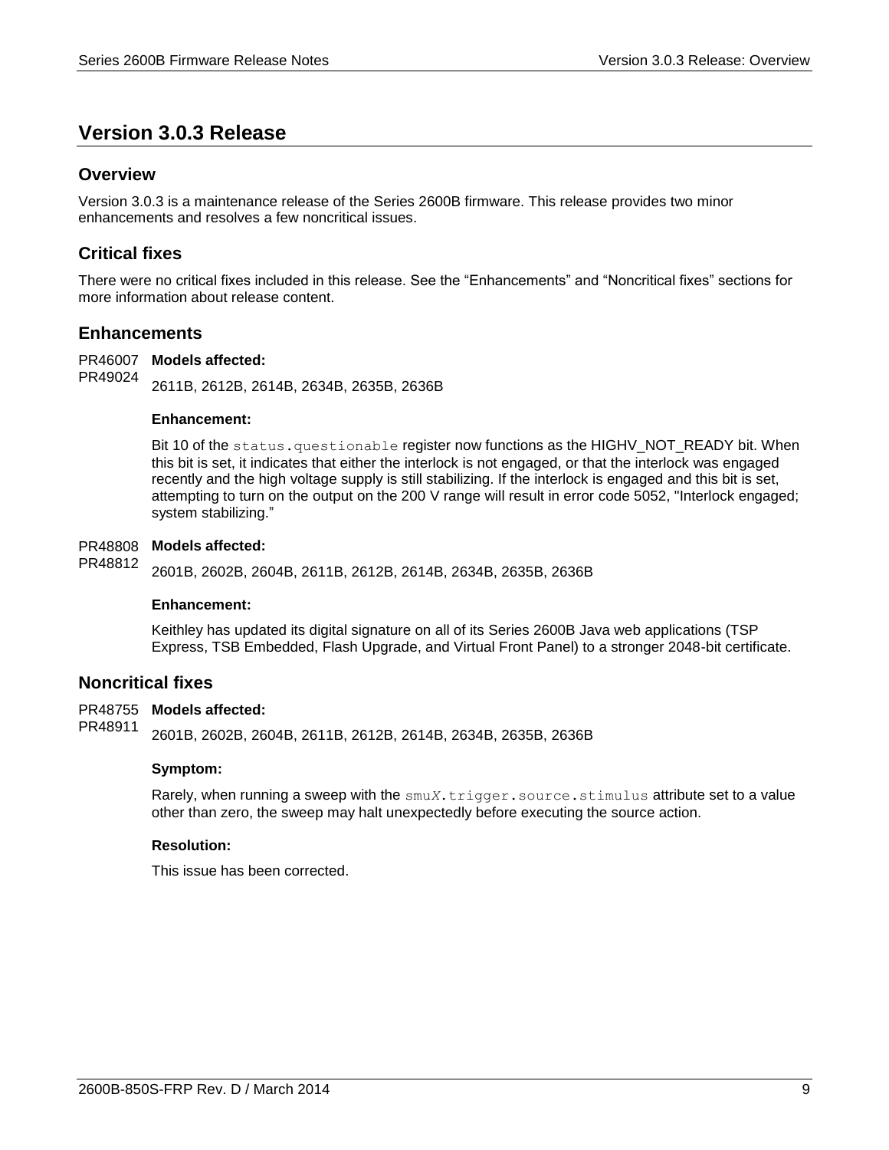# <span id="page-8-0"></span>**Version 3.0.3 Release**

# <span id="page-8-1"></span>**Overview**

Version 3.0.3 is a maintenance release of the Series 2600B firmware. This release provides two minor enhancements and resolves a few noncritical issues.

# <span id="page-8-2"></span>**Critical fixes**

There were no critical fixes included in this release. See the "Enhancements" and "Noncritical fixes" sections for more information about release content.

# <span id="page-8-3"></span>**Enhancements**

PR46007 Models affected: 2611B, 2612B, 2614B, 2634B, 2635B, 2636B PR49024

## **Enhancement:**

Bit 10 of the status.questionable register now functions as the HIGHV\_NOT\_READY bit. When this bit is set, it indicates that either the interlock is not engaged, or that the interlock was engaged recently and the high voltage supply is still stabilizing. If the interlock is engaged and this bit is set, attempting to turn on the output on the 200 V range will result in error code 5052, "Interlock engaged; system stabilizing."

#### PR48808 Models affected:

2601B, 2602B, 2604B, 2611B, 2612B, 2614B, 2634B, 2635B, 2636B PR48812

#### **Enhancement:**

Keithley has updated its digital signature on all of its Series 2600B Java web applications (TSP Express, TSB Embedded, Flash Upgrade, and Virtual Front Panel) to a stronger 2048-bit certificate.

# <span id="page-8-4"></span>**Noncritical fixes**

#### PR48755 Models affected:

2601B, 2602B, 2604B, 2611B, 2612B, 2614B, 2634B, 2635B, 2636B PR48911

#### **Symptom:**

Rarely, when running a sweep with the  $\text{smu}X$ .trigger.source.stimulus attribute set to a value other than zero, the sweep may halt unexpectedly before executing the source action.

#### **Resolution:**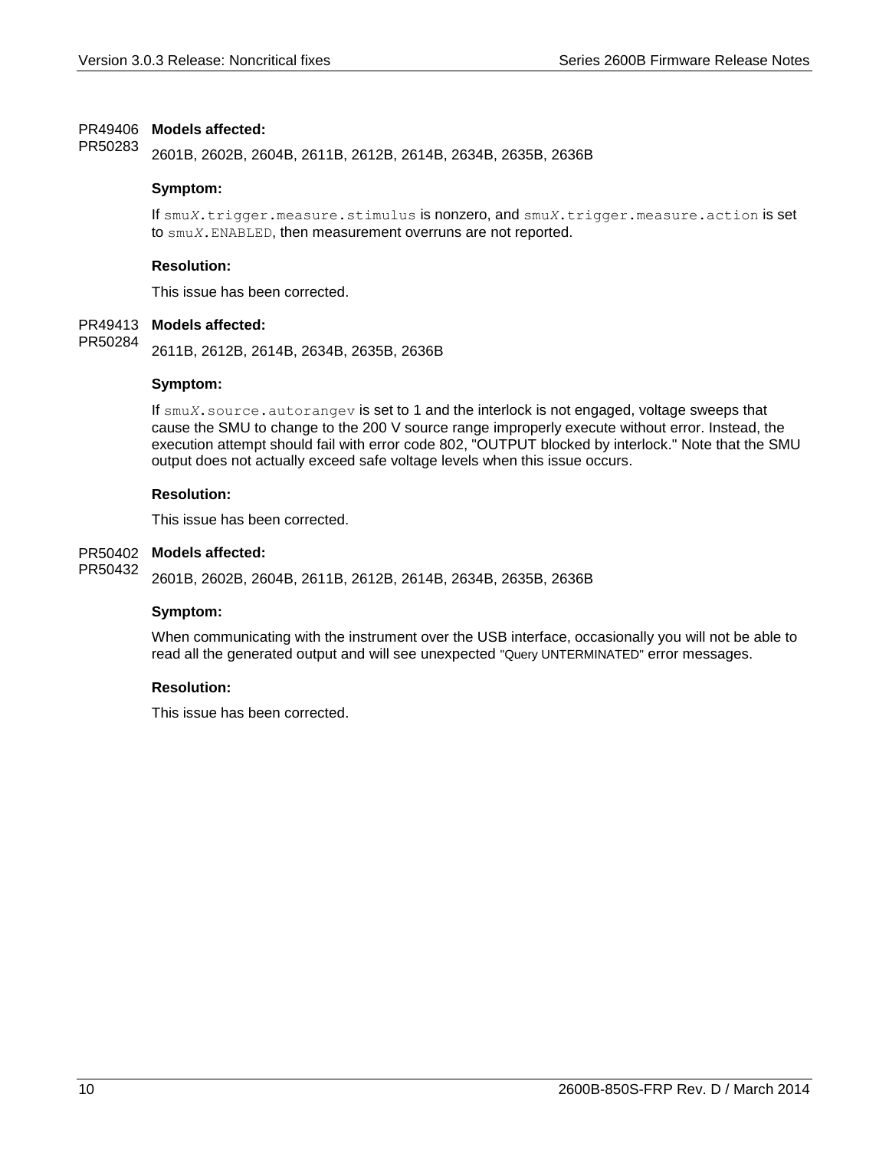#### PR49406 Models affected:

2601B, 2602B, 2604B, 2611B, 2612B, 2614B, 2634B, 2635B, 2636B PR50283

#### **Symptom:**

If smu*X*.trigger.measure.stimulus is nonzero, and smu*X*.trigger.measure.action is set to smu*X*.ENABLED, then measurement overruns are not reported.

#### **Resolution:**

This issue has been corrected.

#### PR49413 Models affected:

2611B, 2612B, 2614B, 2634B, 2635B, 2636B PR50284

#### **Symptom:**

If smu*X*.source.autorangev is set to 1 and the interlock is not engaged, voltage sweeps that cause the SMU to change to the 200 V source range improperly execute without error. Instead, the execution attempt should fail with error code 802, "OUTPUT blocked by interlock." Note that the SMU output does not actually exceed safe voltage levels when this issue occurs.

#### **Resolution:**

This issue has been corrected.

#### PR50402 Models affected:

2601B, 2602B, 2604B, 2611B, 2612B, 2614B, 2634B, 2635B, 2636B PR50432

#### **Symptom:**

When communicating with the instrument over the USB interface, occasionally you will not be able to read all the generated output and will see unexpected "Query UNTERMINATED" error messages.

## **Resolution:**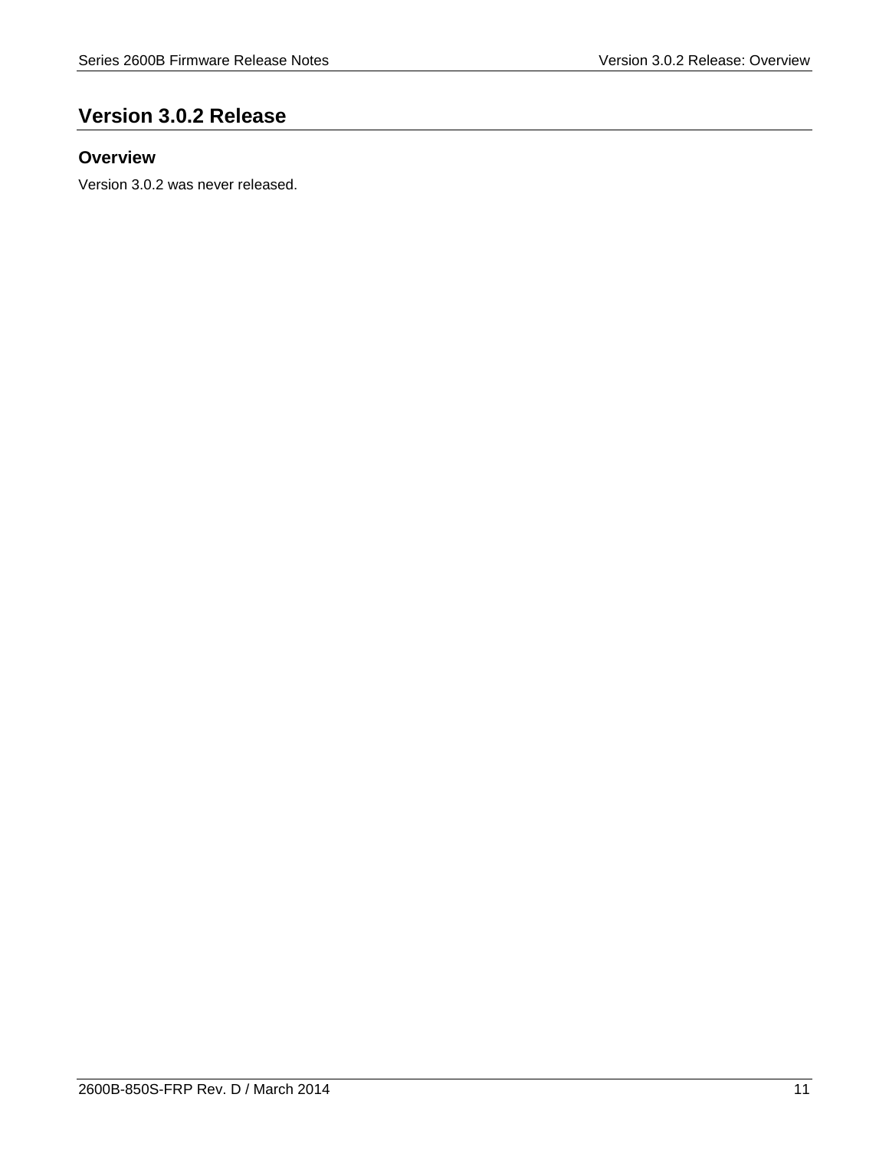# <span id="page-10-0"></span>**Version 3.0.2 Release**

# <span id="page-10-1"></span>**Overview**

Version 3.0.2 was never released.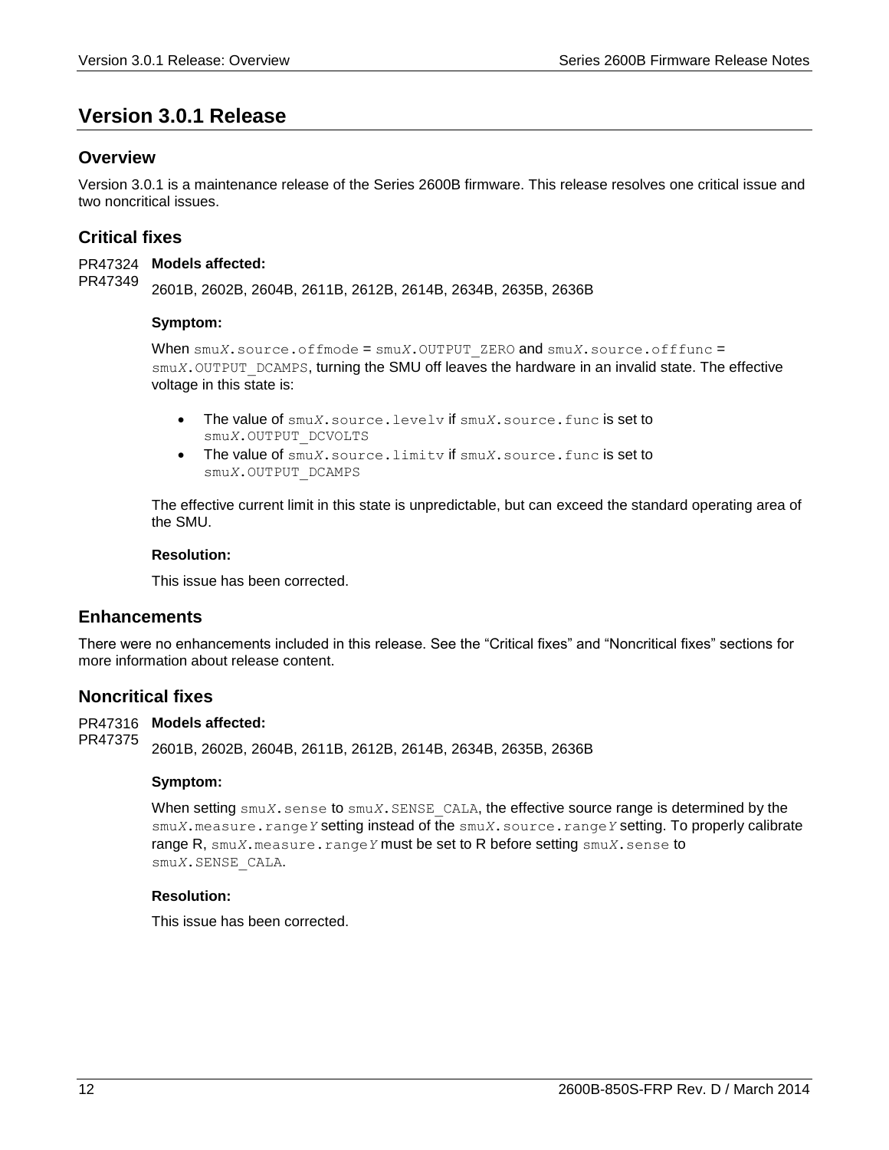# <span id="page-11-0"></span>**Version 3.0.1 Release**

# <span id="page-11-1"></span>**Overview**

Version 3.0.1 is a maintenance release of the Series 2600B firmware. This release resolves one critical issue and two noncritical issues.

# <span id="page-11-2"></span>**Critical fixes**

PR47324 Models affected: 2601B, 2602B, 2604B, 2611B, 2612B, 2614B, 2634B, 2635B, 2636B PR47349

#### **Symptom:**

When smu*X*.source.offmode = smu*X*.OUTPUT\_ZERO and smu*X*.source.offfunc = smu*X*. OUTPUT DCAMPS, turning the SMU off leaves the hardware in an invalid state. The effective voltage in this state is:

- The value of smu*X*.source.levelv if smu*X*.source.func is set to smu*X*.OUTPUT\_DCVOLTS
- The value of smu*X*.source.limitv if smu*X*.source.func is set to smu*X*.OUTPUT\_DCAMPS

The effective current limit in this state is unpredictable, but can exceed the standard operating area of the SMU.

#### **Resolution:**

This issue has been corrected.

# <span id="page-11-3"></span>**Enhancements**

There were no enhancements included in this release. See the "Critical fixes" and "Noncritical fixes" sections for more information about release content.

## <span id="page-11-4"></span>**Noncritical fixes**

PR47316 Models affected:

2601B, 2602B, 2604B, 2611B, 2612B, 2614B, 2634B, 2635B, 2636B PR47375

#### **Symptom:**

When setting  $\text{smuX}$ , sense to  $\text{smuX}$ , SENSE CALA, the effective source range is determined by the smu*X*.measure.range*Y* setting instead of the smu*X*.source.range*Y* setting. To properly calibrate range R, smu*X*.measure.range*Y* must be set to R before setting smu*X*.sense to smu*X*.SENSE\_CALA.

## **Resolution:**